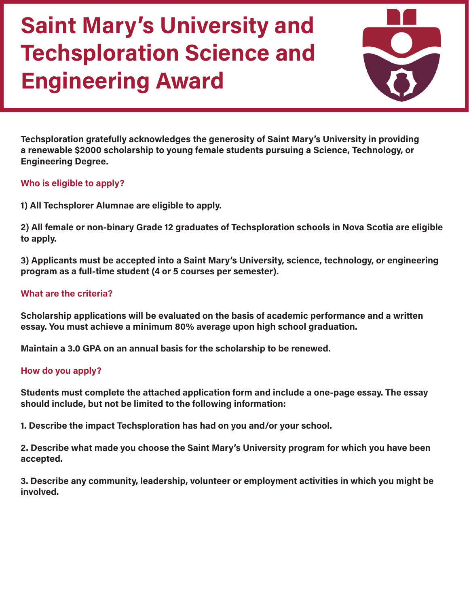

**Techsploration gratefully acknowledges the generosity of Saint Mary's University in providing a renewable \$2000 scholarship to young female students pursuing a Science, Technology, or Engineering Degree.** 

#### **Who is eligible to apply?**

**1) All Techsplorer Alumnae are eligible to apply.**

**2) All female or non-binary Grade 12 graduates of Techsploration schools in Nova Scotia are eligible to apply.**

**3) Applicants must be accepted into a Saint Mary's University, science, technology, or engineering program as a full-time student (4 or 5 courses per semester).**

### **What are the criteria?**

**Scholarship applications will be evaluated on the basis of academic performance and a written essay. You must achieve a minimum 80% average upon high school graduation.** 

**Maintain a 3.0 GPA on an annual basis for the scholarship to be renewed.** 

### **How do you apply?**

**Students must complete the attached application form and include a one-page essay. The essay should include, but not be limited to the following information:** 

**1. Describe the impact Techsploration has had on you and/or your school.**

**2. Describe what made you choose the Saint Mary's University program for which you have been accepted.**

**3. Describe any community, leadership, volunteer or employment activities in which you might be involved.**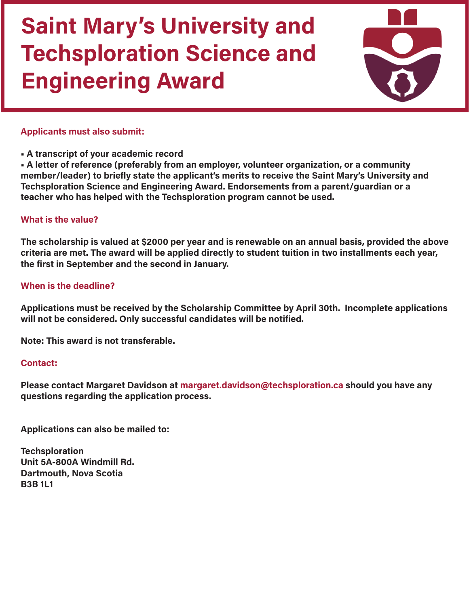

### **Applicants must also submit:**

**• A transcript of your academic record**

**• A letter of reference (preferably from an employer, volunteer organization, or a community member/leader) to briefly state the applicant's merits to receive the Saint Mary's University and Techsploration Science and Engineering Award. Endorsements from a parent/guardian or a teacher who has helped with the Techsploration program cannot be used.**

### **What is the value?**

**The scholarship is valued at \$2000 per year and is renewable on an annual basis, provided the above criteria are met. The award will be applied directly to student tuition in two installments each year, the first in September and the second in January.** 

#### **When is the deadline?**

**Applications must be received by the Scholarship Committee by April 30th. Incomplete applications will not be considered. Only successful candidates will be notified.** 

**Note: This award is not transferable.** 

#### **Contact:**

**Please contact Margaret Davidson at margaret.davidson@techsploration.ca should you have any questions regarding the application process.** 

**Applications can also be mailed to:** 

**Techsploration Unit 5A-800A Windmill Rd. Dartmouth, Nova Scotia B3B 1L1**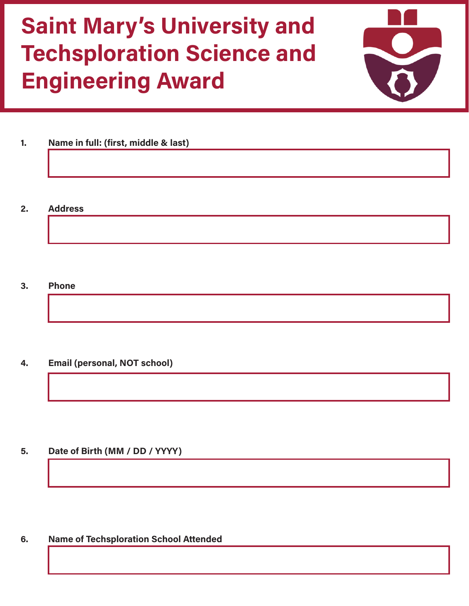

- **1. Name in full: (first, middle & last)**
- **2. Address**

**3. Phone**

**4. Email (personal, NOT school)**

**5. Date of Birth (MM / DD / YYYY)**

**6. Name of Techsploration School Attended**